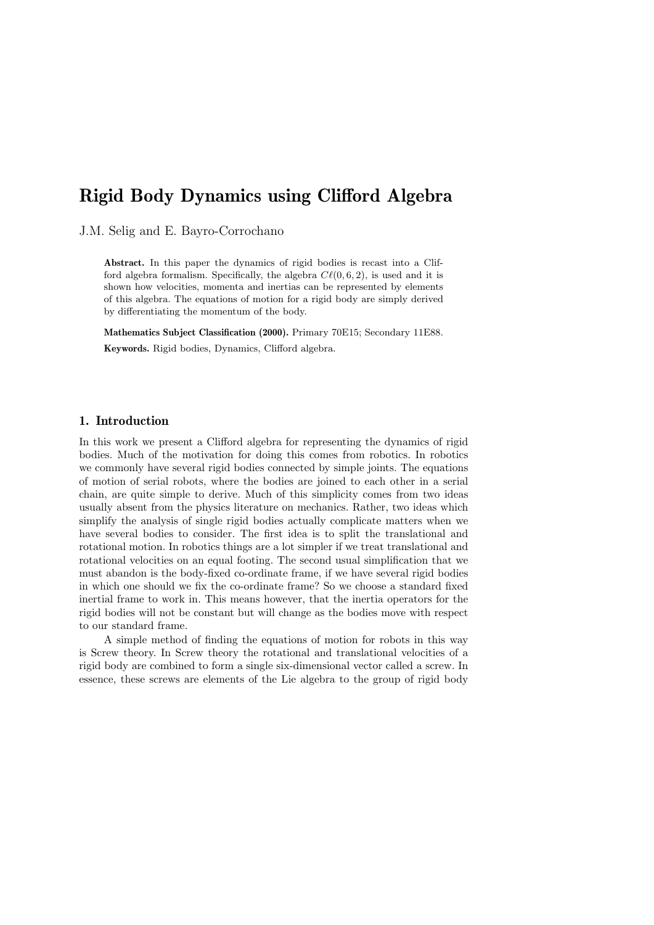# Rigid Body Dynamics using Clifford Algebra

J.M. Selig and E. Bayro-Corrochano

Abstract. In this paper the dynamics of rigid bodies is recast into a Clifford algebra formalism. Specifically, the algebra  $C\ell(0, 6, 2)$ , is used and it is shown how velocities, momenta and inertias can be represented by elements of this algebra. The equations of motion for a rigid body are simply derived by differentiating the momentum of the body.

Mathematics Subject Classification (2000). Primary 70E15; Secondary 11E88. Keywords. Rigid bodies, Dynamics, Clifford algebra.

## 1. Introduction

In this work we present a Clifford algebra for representing the dynamics of rigid bodies. Much of the motivation for doing this comes from robotics. In robotics we commonly have several rigid bodies connected by simple joints. The equations of motion of serial robots, where the bodies are joined to each other in a serial chain, are quite simple to derive. Much of this simplicity comes from two ideas usually absent from the physics literature on mechanics. Rather, two ideas which simplify the analysis of single rigid bodies actually complicate matters when we have several bodies to consider. The first idea is to split the translational and rotational motion. In robotics things are a lot simpler if we treat translational and rotational velocities on an equal footing. The second usual simplification that we must abandon is the body-fixed co-ordinate frame, if we have several rigid bodies in which one should we fix the co-ordinate frame? So we choose a standard fixed inertial frame to work in. This means however, that the inertia operators for the rigid bodies will not be constant but will change as the bodies move with respect to our standard frame.

A simple method of finding the equations of motion for robots in this way is Screw theory. In Screw theory the rotational and translational velocities of a rigid body are combined to form a single six-dimensional vector called a screw. In essence, these screws are elements of the Lie algebra to the group of rigid body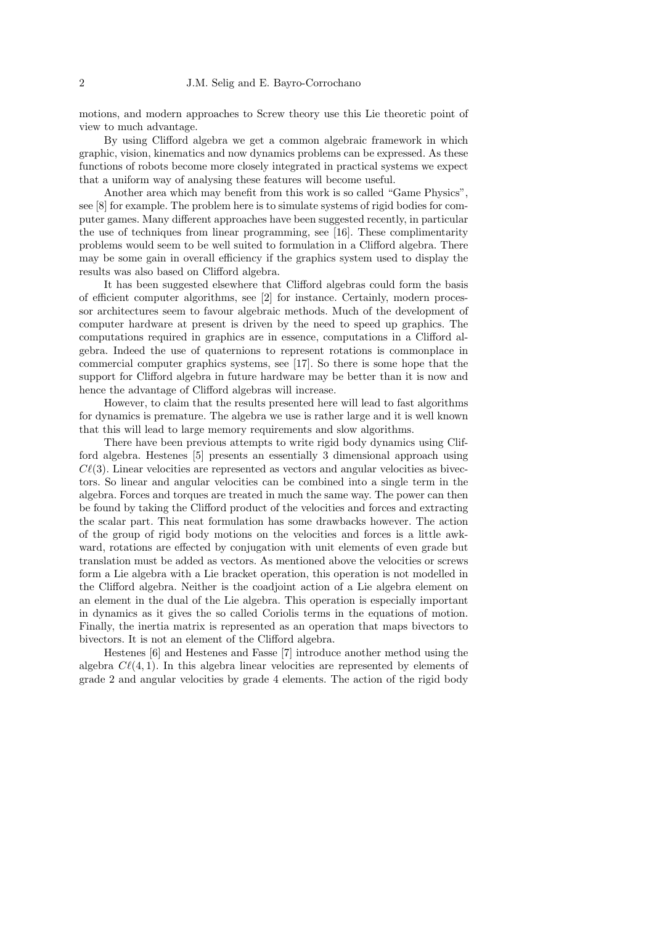motions, and modern approaches to Screw theory use this Lie theoretic point of view to much advantage.

By using Clifford algebra we get a common algebraic framework in which graphic, vision, kinematics and now dynamics problems can be expressed. As these functions of robots become more closely integrated in practical systems we expect that a uniform way of analysing these features will become useful.

Another area which may benefit from this work is so called "Game Physics", see [8] for example. The problem here is to simulate systems of rigid bodies for computer games. Many different approaches have been suggested recently, in particular the use of techniques from linear programming, see [16]. These complimentarity problems would seem to be well suited to formulation in a Clifford algebra. There may be some gain in overall efficiency if the graphics system used to display the results was also based on Clifford algebra.

It has been suggested elsewhere that Clifford algebras could form the basis of efficient computer algorithms, see [2] for instance. Certainly, modern processor architectures seem to favour algebraic methods. Much of the development of computer hardware at present is driven by the need to speed up graphics. The computations required in graphics are in essence, computations in a Clifford algebra. Indeed the use of quaternions to represent rotations is commonplace in commercial computer graphics systems, see [17]. So there is some hope that the support for Clifford algebra in future hardware may be better than it is now and hence the advantage of Clifford algebras will increase.

However, to claim that the results presented here will lead to fast algorithms for dynamics is premature. The algebra we use is rather large and it is well known that this will lead to large memory requirements and slow algorithms.

There have been previous attempts to write rigid body dynamics using Clifford algebra. Hestenes [5] presents an essentially 3 dimensional approach using  $C\ell(3)$ . Linear velocities are represented as vectors and angular velocities as bivectors. So linear and angular velocities can be combined into a single term in the algebra. Forces and torques are treated in much the same way. The power can then be found by taking the Clifford product of the velocities and forces and extracting the scalar part. This neat formulation has some drawbacks however. The action of the group of rigid body motions on the velocities and forces is a little awkward, rotations are effected by conjugation with unit elements of even grade but translation must be added as vectors. As mentioned above the velocities or screws form a Lie algebra with a Lie bracket operation, this operation is not modelled in the Clifford algebra. Neither is the coadjoint action of a Lie algebra element on an element in the dual of the Lie algebra. This operation is especially important in dynamics as it gives the so called Coriolis terms in the equations of motion. Finally, the inertia matrix is represented as an operation that maps bivectors to bivectors. It is not an element of the Clifford algebra.

Hestenes [6] and Hestenes and Fasse [7] introduce another method using the algebra  $Cl(4, 1)$ . In this algebra linear velocities are represented by elements of grade 2 and angular velocities by grade 4 elements. The action of the rigid body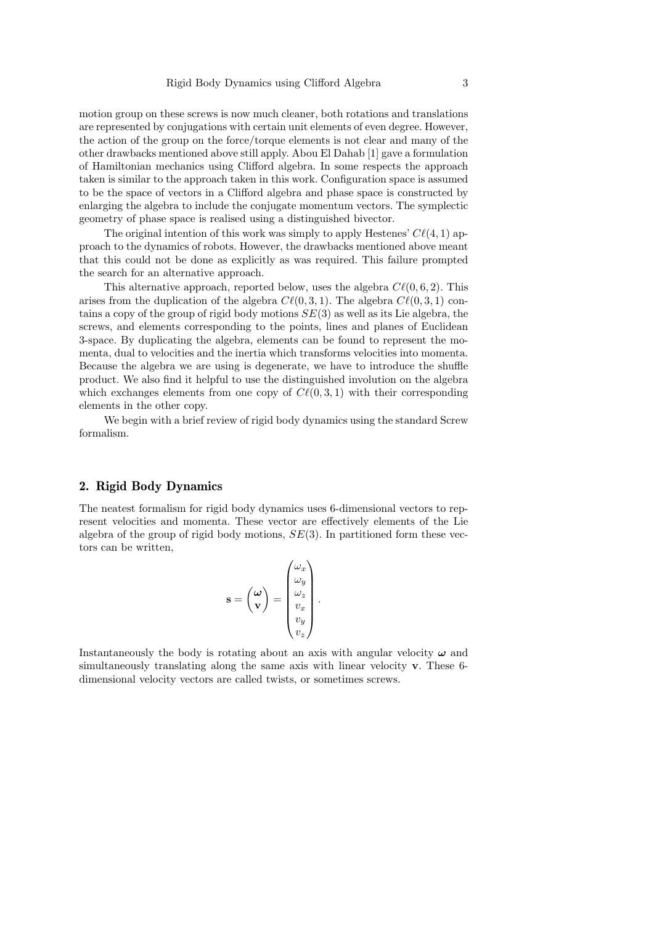motion group on these screws is now much cleaner, both rotations and translations are represented by conjugations with certain unit elements of even degree. However, the action of the group on the force/torque elements is not clear and many of the other drawbacks mentioned above still apply. Abou El Dahab [1] gave a formulation of Hamiltonian mechanics using Clifford algebra. In some respects the approach taken is similar to the approach taken in this work. Configuration space is assumed to be the space of vectors in a Clifford algebra and phase space is constructed by enlarging the algebra to include the conjugate momentum vectors. The symplectic geometry of phase space is realised using a distinguished bivector.

The original intention of this work was simply to apply Hestenes'  $C\ell(4, 1)$  approach to the dynamics of robots. However, the drawbacks mentioned above meant that this could not be done as explicitly as was required. This failure prompted the search for an alternative approach.

This alternative approach, reported below, uses the algebra  $C\ell(0, 6, 2)$ . This arises from the duplication of the algebra  $C\ell(0, 3, 1)$ . The algebra  $C\ell(0, 3, 1)$  contains a copy of the group of rigid body motions  $SE(3)$  as well as its Lie algebra, the screws, and elements corresponding to the points, lines and planes of Euclidean 3-space. By duplicating the algebra, elements can be found to represent the momenta, dual to velocities and the inertia which transforms velocities into momenta. Because the algebra we are using is degenerate, we have to introduce the shuffle product. We also find it helpful to use the distinguished involution on the algebra which exchanges elements from one copy of  $C\ell(0, 3, 1)$  with their corresponding elements in the other copy.

We begin with a brief review of rigid body dynamics using the standard Screw formalism.

## 2. Rigid Body Dynamics

The neatest formalism for rigid body dynamics uses 6-dimensional vectors to represent velocities and momenta. These vector are effectively elements of the Lie algebra of the group of rigid body motions,  $SE(3)$ . In partitioned form these vectors can be written,

$$
\mathbf{s} = \begin{pmatrix} \boldsymbol{\omega} \\ \mathbf{v} \end{pmatrix} = \begin{pmatrix} \omega_x \\ \omega_y \\ \omega_z \\ v_x \\ v_y \\ v_z \end{pmatrix}
$$

.

Instantaneously the body is rotating about an axis with angular velocity  $\omega$  and simultaneously translating along the same axis with linear velocity v. These 6 dimensional velocity vectors are called twists, or sometimes screws.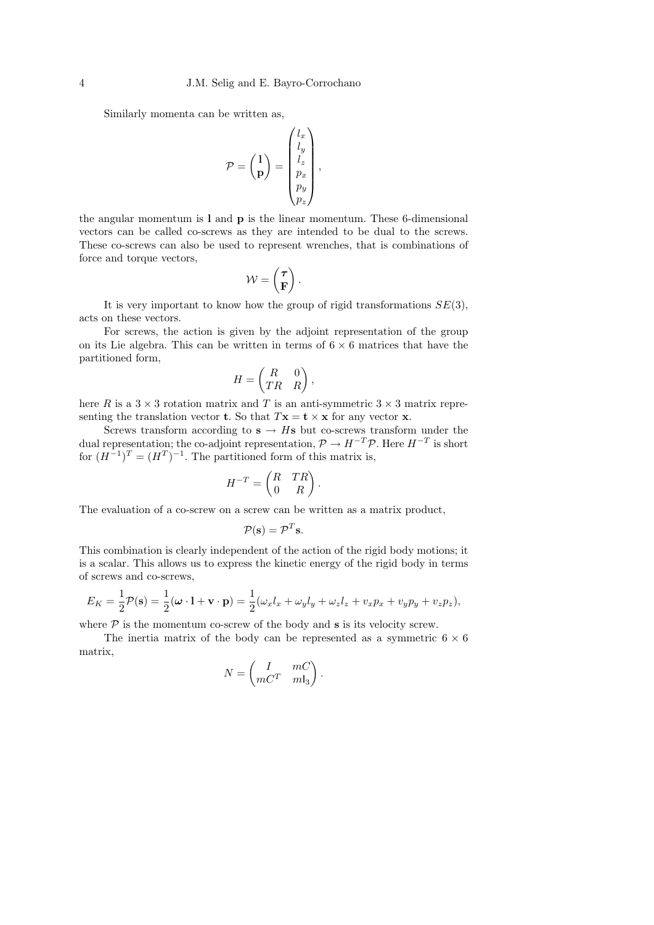Similarly momenta can be written as,

$$
\mathcal{P} = \begin{pmatrix} 1 \\ \mathbf{p} \end{pmatrix} = \begin{pmatrix} l_x \\ l_y \\ l_z \\ p_x \\ p_y \\ p_z \end{pmatrix},
$$

the angular momentum is l and p is the linear momentum. These 6-dimensional vectors can be called co-screws as they are intended to be dual to the screws. These co-screws can also be used to represent wrenches, that is combinations of force and torque vectors,

$$
\mathcal{W} = \begin{pmatrix} \boldsymbol{\tau} \\ \mathbf{F} \end{pmatrix}.
$$

It is very important to know how the group of rigid transformations  $SE(3)$ , acts on these vectors.

For screws, the action is given by the adjoint representation of the group on its Lie algebra. This can be written in terms of  $6 \times 6$  matrices that have the partitioned form,

$$
H = \begin{pmatrix} R & 0 \\ TR & R \end{pmatrix},
$$

here R is a  $3 \times 3$  rotation matrix and T is an anti-symmetric  $3 \times 3$  matrix representing the translation vector **t**. So that  $T\mathbf{x} = \mathbf{t} \times \mathbf{x}$  for any vector **x**.

Screws transform according to  $s \rightarrow Hs$  but co-screws transform under the dual representation; the co-adjoint representation,  $\mathcal{P} \to H^{-T} \mathcal{P}$ . Here  $H^{-T}$  is short for  $(H^{-1})^T = (H^T)^{-1}$ . The partitioned form of this matrix is,

$$
H^{-T} = \begin{pmatrix} R & TR \\ 0 & R \end{pmatrix}.
$$

The evaluation of a co-screw on a screw can be written as a matrix product,

$$
\mathcal{P}(\mathbf{s}) = \mathcal{P}^T \mathbf{s}.
$$

This combination is clearly independent of the action of the rigid body motions; it is a scalar. This allows us to express the kinetic energy of the rigid body in terms of screws and co-screws,

$$
E_K = \frac{1}{2}\mathcal{P}(\mathbf{s}) = \frac{1}{2}(\boldsymbol{\omega}\cdot\mathbf{l} + \mathbf{v}\cdot\mathbf{p}) = \frac{1}{2}(\omega_x l_x + \omega_y l_y + \omega_z l_z + v_x p_x + v_y p_y + v_z p_z),
$$

where  $P$  is the momentum co-screw of the body and  $s$  is its velocity screw.

The inertia matrix of the body can be represented as a symmetric  $6 \times 6$ matrix,

$$
N = \begin{pmatrix} I & mC \\ mC^T & mI_3 \end{pmatrix}.
$$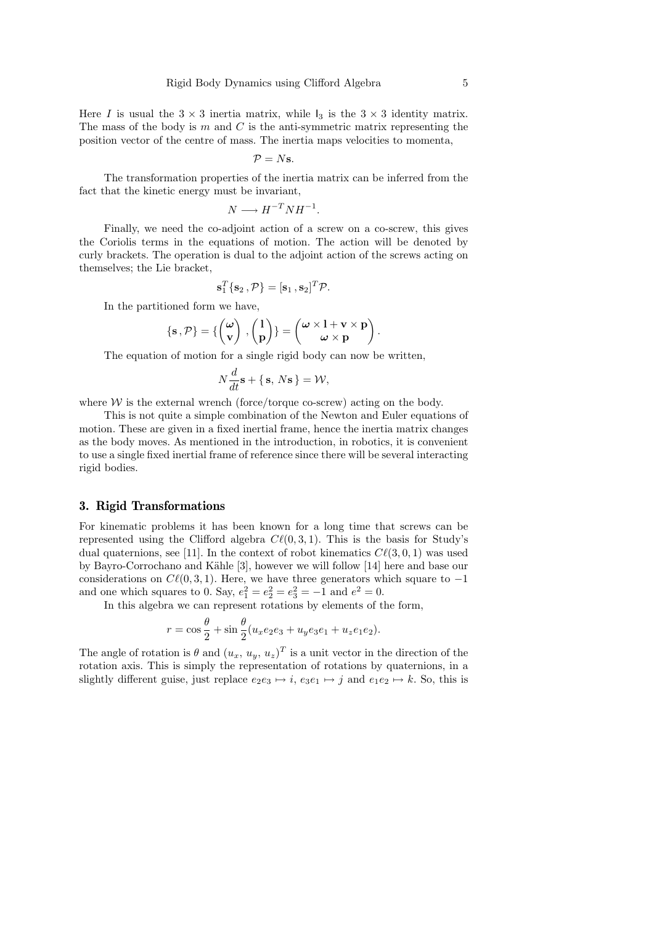Here I is usual the  $3 \times 3$  inertia matrix, while  $I_3$  is the  $3 \times 3$  identity matrix. The mass of the body is  $m$  and  $C$  is the anti-symmetric matrix representing the position vector of the centre of mass. The inertia maps velocities to momenta,

$$
\mathcal{P}=N\mathbf{s}.
$$

The transformation properties of the inertia matrix can be inferred from the fact that the kinetic energy must be invariant,

$$
N \longrightarrow H^{-T}NH^{-1}.
$$

Finally, we need the co-adjoint action of a screw on a co-screw, this gives the Coriolis terms in the equations of motion. The action will be denoted by curly brackets. The operation is dual to the adjoint action of the screws acting on themselves; the Lie bracket,

$$
\mathbf{s}_1^T \{\mathbf{s}_2, \mathcal{P}\} = [\mathbf{s}_1, \mathbf{s}_2]^T \mathcal{P}.
$$

In the partitioned form we have,

$$
\{s,\mathcal{P}\} = \{ \begin{pmatrix} \omega \\ v \end{pmatrix}, \begin{pmatrix} 1 \\ p \end{pmatrix} \} = \begin{pmatrix} \omega \times l + v \times p \\ \omega \times p \end{pmatrix}.
$$

The equation of motion for a single rigid body can now be written,

$$
N\frac{d}{dt}\mathbf{s} + \{\mathbf{s}, N\mathbf{s}\} = \mathcal{W},
$$

where  $W$  is the external wrench (force/torque co-screw) acting on the body.

This is not quite a simple combination of the Newton and Euler equations of motion. These are given in a fixed inertial frame, hence the inertia matrix changes as the body moves. As mentioned in the introduction, in robotics, it is convenient to use a single fixed inertial frame of reference since there will be several interacting rigid bodies.

#### 3. Rigid Transformations

For kinematic problems it has been known for a long time that screws can be represented using the Clifford algebra  $Cl(0, 3, 1)$ . This is the basis for Study's dual quaternions, see [11]. In the context of robot kinematics  $C\ell(3, 0, 1)$  was used by Bayro-Corrochano and Kähle [3], however we will follow [14] here and base our considerations on  $C\ell(0, 3, 1)$ . Here, we have three generators which square to  $-1$ and one which squares to 0. Say,  $e_1^2 = e_2^2 = e_3^2 = -1$  and  $e^2 = 0$ .

In this algebra we can represent rotations by elements of the form,

$$
r = \cos\frac{\theta}{2} + \sin\frac{\theta}{2}(u_x e_2 e_3 + u_y e_3 e_1 + u_z e_1 e_2).
$$

The angle of rotation is  $\theta$  and  $(u_x, u_y, u_z)^T$  is a unit vector in the direction of the rotation axis. This is simply the representation of rotations by quaternions, in a slightly different guise, just replace  $e_2e_3 \mapsto i$ ,  $e_3e_1 \mapsto j$  and  $e_1e_2 \mapsto k$ . So, this is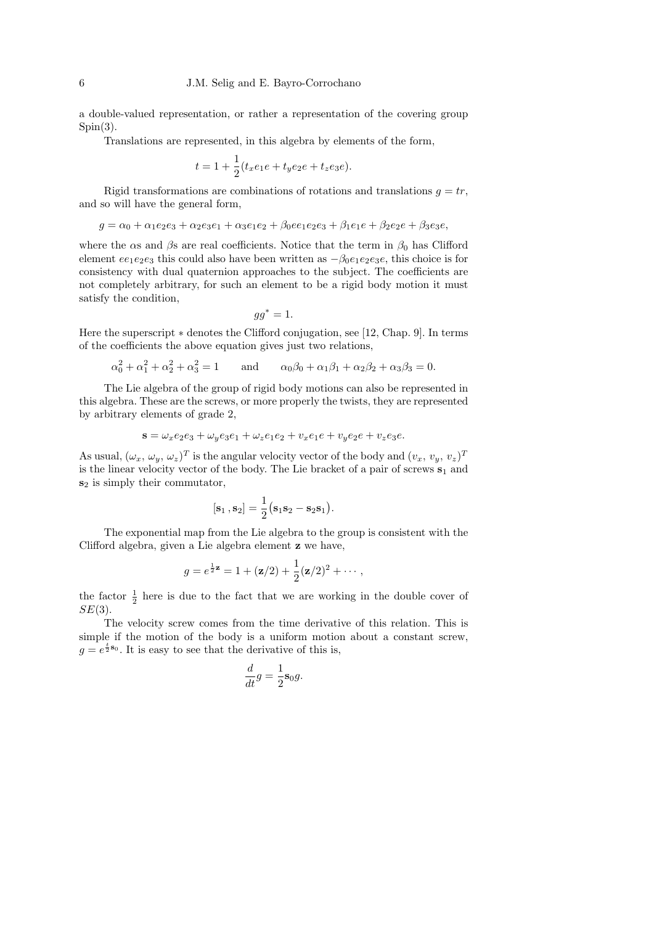a double-valued representation, or rather a representation of the covering group  $Spin(3)$ .

Translations are represented, in this algebra by elements of the form,

$$
t = 1 + \frac{1}{2}(t_x e_1 e + t_y e_2 e + t_z e_3 e).
$$

Rigid transformations are combinations of rotations and translations  $q = tr$ , and so will have the general form,

$$
g = \alpha_0 + \alpha_1 e_2 e_3 + \alpha_2 e_3 e_1 + \alpha_3 e_1 e_2 + \beta_0 e_1 e_2 e_3 + \beta_1 e_1 e_3 + \beta_2 e_2 e_3 + \beta_3 e_3 e_3
$$

where the  $\alpha s$  and  $\beta s$  are real coefficients. Notice that the term in  $\beta_0$  has Clifford element  $ee_1e_2e_3$  this could also have been written as  $-\beta_0e_1e_2e_3e$ , this choice is for consistency with dual quaternion approaches to the subject. The coefficients are not completely arbitrary, for such an element to be a rigid body motion it must satisfy the condition,

$$
gg^* = 1.
$$

Here the superscript ∗ denotes the Clifford conjugation, see [12, Chap. 9]. In terms of the coefficients the above equation gives just two relations,

$$
\alpha_0^2 + \alpha_1^2 + \alpha_2^2 + \alpha_3^2 = 1
$$
 and  $\alpha_0\beta_0 + \alpha_1\beta_1 + \alpha_2\beta_2 + \alpha_3\beta_3 = 0.$ 

The Lie algebra of the group of rigid body motions can also be represented in this algebra. These are the screws, or more properly the twists, they are represented by arbitrary elements of grade 2,

$$
\mathbf{s} = \omega_x e_2 e_3 + \omega_y e_3 e_1 + \omega_z e_1 e_2 + v_x e_1 e + v_y e_2 e + v_z e_3 e.
$$

As usual,  $(\omega_x, \omega_y, \omega_z)^T$  is the angular velocity vector of the body and  $(v_x, v_y, v_z)^T$ is the linear velocity vector of the body. The Lie bracket of a pair of screws  $s_1$  and  $s_2$  is simply their commutator,

$$
[\mathbf{s}_1,\mathbf{s}_2]=\frac{1}{2}(\mathbf{s}_1\mathbf{s}_2-\mathbf{s}_2\mathbf{s}_1).
$$

The exponential map from the Lie algebra to the group is consistent with the Clifford algebra, given a Lie algebra element z we have,

$$
g = e^{\frac{1}{2}\mathbf{z}} = 1 + (\mathbf{z}/2) + \frac{1}{2}(\mathbf{z}/2)^2 + \cdots,
$$

the factor  $\frac{1}{2}$  here is due to the fact that we are working in the double cover of  $SE(3)$ .

The velocity screw comes from the time derivative of this relation. This is simple if the motion of the body is a uniform motion about a constant screw,  $g = e^{\frac{t}{2} \mathbf{s}_0}$ . It is easy to see that the derivative of this is,

$$
\frac{d}{dt}g = \frac{1}{2}\mathbf{s}_0 g.
$$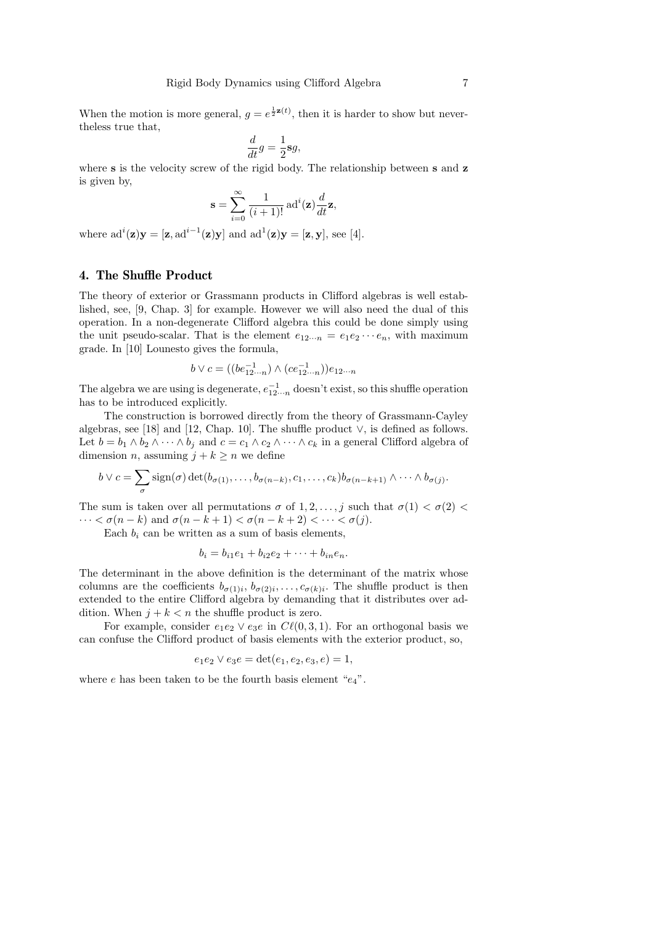When the motion is more general,  $g = e^{\frac{1}{2}z(t)}$ , then it is harder to show but nevertheless true that,

$$
\frac{d}{dt}g = \frac{1}{2}\mathbf{s}g,
$$

where s is the velocity screw of the rigid body. The relationship between s and z is given by,

$$
\mathbf{s} = \sum_{i=0}^{\infty} \frac{1}{(i+1)!} \operatorname{ad}^{i}(\mathbf{z}) \frac{d}{dt} \mathbf{z},
$$

where  $ad^i(\mathbf{z})\mathbf{y} = [\mathbf{z}, ad^{i-1}(\mathbf{z})\mathbf{y}]$  and  $ad^1(\mathbf{z})\mathbf{y} = [\mathbf{z}, \mathbf{y}]$ , see [4].

## 4. The Shuffle Product

The theory of exterior or Grassmann products in Clifford algebras is well established, see, [9, Chap. 3] for example. However we will also need the dual of this operation. In a non-degenerate Clifford algebra this could be done simply using the unit pseudo-scalar. That is the element  $e_{12\cdots n} = e_1e_2\cdots e_n$ , with maximum grade. In [10] Lounesto gives the formula,

$$
b \vee c = ((be_{12\cdots n}^{-1}) \wedge (ce_{12\cdots n}^{-1}))e_{12\cdots n}
$$

The algebra we are using is degenerate,  $e_{12\cdots n}^{-1}$  doesn't exist, so this shuffle operation has to be introduced explicitly.

The construction is borrowed directly from the theory of Grassmann-Cayley algebras, see [18] and [12, Chap. 10]. The shuffle product ∨, is defined as follows. Let  $b = b_1 \wedge b_2 \wedge \cdots \wedge b_j$  and  $c = c_1 \wedge c_2 \wedge \cdots \wedge c_k$  in a general Clifford algebra of dimension *n*, assuming  $j + k \geq n$  we define

$$
b \vee c = \sum_{\sigma} sign(\sigma) \det(b_{\sigma(1)}, \ldots, b_{\sigma(n-k)}, c_1, \ldots, c_k) b_{\sigma(n-k+1)} \wedge \cdots \wedge b_{\sigma(j)}.
$$

The sum is taken over all permutations  $\sigma$  of  $1, 2, \ldots, j$  such that  $\sigma(1) < \sigma(2)$  $\cdots < \sigma(n-k)$  and  $\sigma(n-k+1) < \sigma(n-k+2) < \cdots < \sigma(j)$ .

Each  $b_i$  can be written as a sum of basis elements,

$$
b_i = b_{i1}e_1 + b_{i2}e_2 + \cdots + b_{in}e_n.
$$

The determinant in the above definition is the determinant of the matrix whose columns are the coefficients  $b_{\sigma(1)i}, b_{\sigma(2)i}, \ldots, c_{\sigma(k)i}$ . The shuffle product is then extended to the entire Clifford algebra by demanding that it distributes over addition. When  $j + k < n$  the shuffle product is zero.

For example, consider  $e_1e_2 \vee e_3e$  in  $C\ell(0, 3, 1)$ . For an orthogonal basis we can confuse the Clifford product of basis elements with the exterior product, so,

$$
e_1e_2 \vee e_3e = \det(e_1, e_2, e_3, e) = 1,
$$

where e has been taken to be the fourth basis element " $e_4$ ".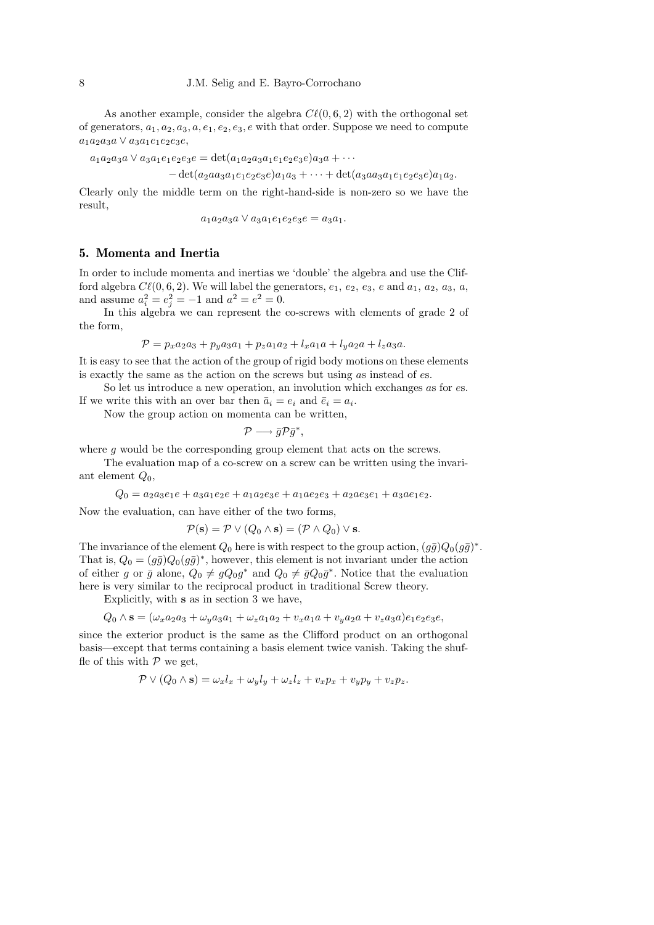As another example, consider the algebra  $C\ell(0, 6, 2)$  with the orthogonal set of generators,  $a_1, a_2, a_3, a, e_1, e_2, e_3, e$  with that order. Suppose we need to compute  $a_1a_2a_3a \vee a_3a_1e_1e_2e_3e$ 

 $a_1a_2a_3a \vee a_3a_1e_1e_2e_3e = \det(a_1a_2a_3a_1e_1e_2e_3e)a_3a + \cdots$ 

 $-\det(a_2aa_3a_1e_1e_2e_3e)a_1a_3 + \cdots + \det(a_3aa_3a_1e_1e_2e_3e)a_1a_2.$ 

Clearly only the middle term on the right-hand-side is non-zero so we have the result,

 $a_1a_2a_3a \vee a_3a_1e_1e_2e_3e = a_3a_1.$ 

### 5. Momenta and Inertia

In order to include momenta and inertias we 'double' the algebra and use the Clifford algebra  $C\ell(0, 6, 2)$ . We will label the generators,  $e_1, e_2, e_3, e$  and  $a_1, a_2, a_3, a$ , and assume  $a_i^2 = e_j^2 = -1$  and  $a^2 = e^2 = 0$ .

In this algebra we can represent the co-screws with elements of grade 2 of the form,

$$
\mathcal{P} = p_x a_2 a_3 + p_y a_3 a_1 + p_z a_1 a_2 + l_x a_1 a + l_y a_2 a + l_z a_3 a.
$$

It is easy to see that the action of the group of rigid body motions on these elements is exactly the same as the action on the screws but using as instead of es.

So let us introduce a new operation, an involution which exchanges as for es. If we write this with an over bar then  $\bar{a}_i = e_i$  and  $\bar{e}_i = a_i$ .

Now the group action on momenta can be written,

$$
\mathcal{P}\longrightarrow \bar{g}\mathcal{P}\bar{g}^*,
$$

where g would be the corresponding group element that acts on the screws.

The evaluation map of a co-screw on a screw can be written using the invariant element  $Q_0$ ,

 $Q_0 = a_2a_3e_1e + a_3a_1e_2e + a_1a_2e_3e + a_1ae_2e_3 + a_2ae_3e_1 + a_3ae_1e_2.$ 

Now the evaluation, can have either of the two forms,

$$
\mathcal{P}(\mathbf{s}) = \mathcal{P} \vee (Q_0 \wedge \mathbf{s}) = (\mathcal{P} \wedge Q_0) \vee \mathbf{s}.
$$

The invariance of the element  $Q_0$  here is with respect to the group action,  $(g\bar{g})Q_0(g\bar{g})^*$ . That is,  $Q_0 = (g\bar{g})Q_0(g\bar{g})^*$ , however, this element is not invariant under the action of either g or  $\bar{g}$  alone,  $Q_0 \neq gQ_0g^*$  and  $Q_0 \neq \bar{g}Q_0g^*$ . Notice that the evaluation here is very similar to the reciprocal product in traditional Screw theory.

Explicitly, with s as in section 3 we have,

$$
Q_0 \wedge \mathbf{s} = (\omega_x a_2 a_3 + \omega_y a_3 a_1 + \omega_z a_1 a_2 + v_x a_1 a + v_y a_2 a + v_z a_3 a)e_1 e_2 e_3 e,
$$

since the exterior product is the same as the Clifford product on an orthogonal basis—except that terms containing a basis element twice vanish. Taking the shuffle of this with  $P$  we get,

$$
\mathcal{P} \vee (Q_0 \wedge \mathbf{s}) = \omega_x l_x + \omega_y l_y + \omega_z l_z + v_x p_x + v_y p_y + v_z p_z.
$$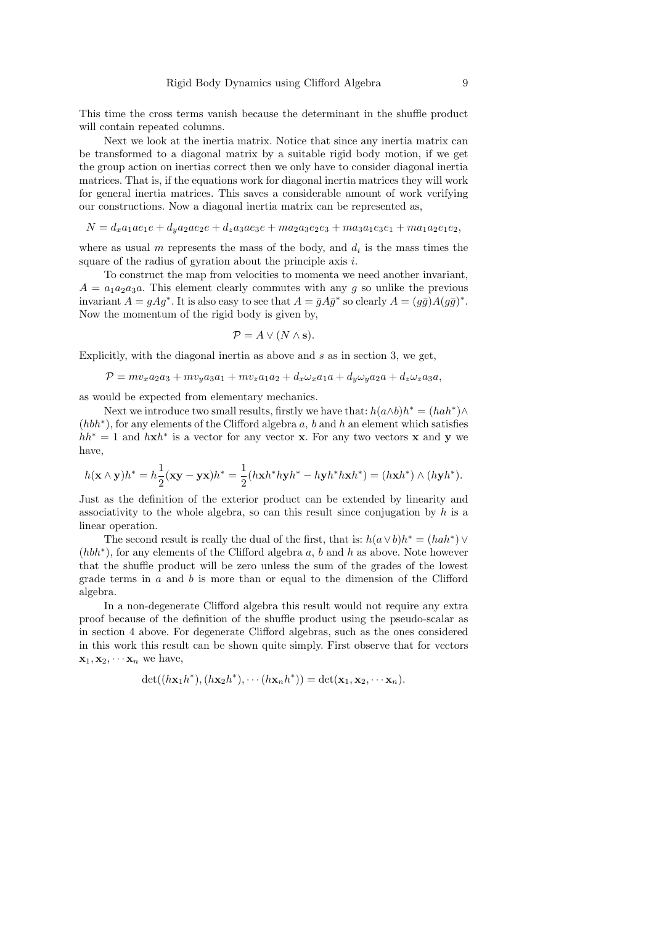This time the cross terms vanish because the determinant in the shuffle product will contain repeated columns.

Next we look at the inertia matrix. Notice that since any inertia matrix can be transformed to a diagonal matrix by a suitable rigid body motion, if we get the group action on inertias correct then we only have to consider diagonal inertia matrices. That is, if the equations work for diagonal inertia matrices they will work for general inertia matrices. This saves a considerable amount of work verifying our constructions. Now a diagonal inertia matrix can be represented as,

$$
N = d_x a_1 a e_1 e + d_y a_2 a e_2 e + d_z a_3 a e_3 e + m a_2 a_3 e_2 e_3 + m a_3 a_1 e_3 e_1 + m a_1 a_2 e_1 e_2,
$$

where as usual  $m$  represents the mass of the body, and  $d_i$  is the mass times the square of the radius of gyration about the principle axis i.

To construct the map from velocities to momenta we need another invariant,  $A = a_1 a_2 a_3 a$ . This element clearly commutes with any g so unlike the previous invariant  $A = gAg^*$ . It is also easy to see that  $A = \overline{g}A\overline{g}^*$  so clearly  $A = (g\overline{g})A(g\overline{g})^*$ . Now the momentum of the rigid body is given by,

$$
\mathcal{P} = A \vee (N \wedge \mathbf{s}).
$$

Explicitly, with the diagonal inertia as above and  $s$  as in section 3, we get,

$$
\mathcal{P} = mv_x a_2 a_3 + mv_y a_3 a_1 + mv_z a_1 a_2 + d_x \omega_x a_1 a + d_y \omega_y a_2 a + d_z \omega_z a_3 a,
$$

as would be expected from elementary mechanics.

Next we introduce two small results, firstly we have that:  $h(a \wedge b)h^* = (hah^*) \wedge$ (hbh<sup>\*</sup>), for any elements of the Clifford algebra a, b and h an element which satisfies  $hh^* = 1$  and  $hxh^*$  is a vector for any vector x. For any two vectors x and y we have,

$$
h(\mathbf{x}\wedge\mathbf{y})h^* = h\frac{1}{2}(\mathbf{x}\mathbf{y}-\mathbf{y}\mathbf{x})h^* = \frac{1}{2}(h\mathbf{x}h^*h\mathbf{y}h^* - h\mathbf{y}h^*h\mathbf{x}h^*) = (h\mathbf{x}h^*)\wedge(h\mathbf{y}h^*).
$$

Just as the definition of the exterior product can be extended by linearity and associativity to the whole algebra, so can this result since conjugation by  $h$  is a linear operation.

The second result is really the dual of the first, that is:  $h(a \vee b)h^* = (hah^*) \vee$ (hbh<sup>\*</sup>), for any elements of the Clifford algebra a, b and h as above. Note however that the shuffle product will be zero unless the sum of the grades of the lowest grade terms in  $a$  and  $b$  is more than or equal to the dimension of the Clifford algebra.

In a non-degenerate Clifford algebra this result would not require any extra proof because of the definition of the shuffle product using the pseudo-scalar as in section 4 above. For degenerate Clifford algebras, such as the ones considered in this work this result can be shown quite simply. First observe that for vectors  $\mathbf{x}_1, \mathbf{x}_2, \cdots, \mathbf{x}_n$  we have,

$$
\det((h\mathbf{x}_1h^*), (h\mathbf{x}_2h^*), \cdots (h\mathbf{x}_nh^*)) = \det(\mathbf{x}_1, \mathbf{x}_2, \cdots, \mathbf{x}_n).
$$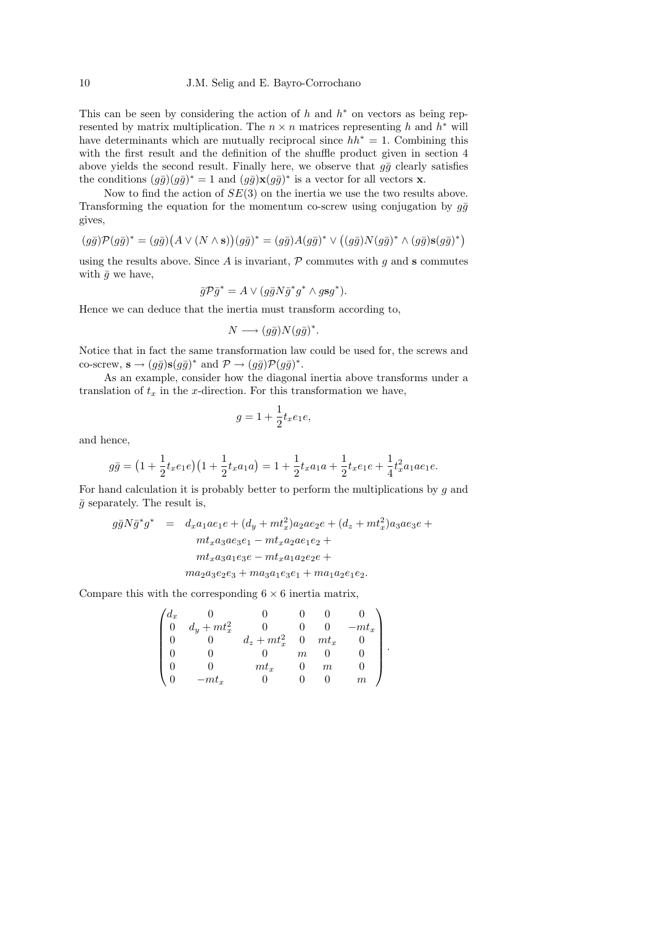#### 10 J.M. Selig and E. Bayro-Corrochano

This can be seen by considering the action of  $h$  and  $h^*$  on vectors as being represented by matrix multiplication. The  $n \times n$  matrices representing h and  $h^*$  will have determinants which are mutually reciprocal since  $hh^* = 1$ . Combining this with the first result and the definition of the shuffle product given in section 4 above yields the second result. Finally here, we observe that  $q\bar{q}$  clearly satisfies the conditions  $(g\bar{g})(g\bar{g})^* = 1$  and  $(g\bar{g})\mathbf{x}(g\bar{g})^*$  is a vector for all vectors **x**.

Now to find the action of  $SE(3)$  on the inertia we use the two results above. Transforming the equation for the momentum co-screw using conjugation by  $q\bar{q}$ gives,

$$
(g\bar{g})\mathcal{P}(g\bar{g})^* = (g\bar{g})\big(A\vee(N\wedge s)\big)(g\bar{g})^* = (g\bar{g})A(g\bar{g})^*\vee((g\bar{g})N(g\bar{g})^*\wedge(g\bar{g})s(g\bar{g})^*)
$$

using the results above. Since A is invariant,  $P$  commutes with q and s commutes with  $\bar{g}$  we have,

$$
\bar{g}\mathcal{P}\bar{g}^* = A \vee (g\bar{g}N\bar{g}^*g^* \wedge g\mathbf{s}g^*).
$$

Hence we can deduce that the inertia must transform according to,

$$
N \longrightarrow (g\bar{g})N(g\bar{g})^*.
$$

Notice that in fact the same transformation law could be used for, the screws and co-screw,  $\mathbf{s} \to (g\bar{g})\mathbf{s}(g\bar{g})^*$  and  $\mathcal{P} \to (g\bar{g})\mathcal{P}(g\bar{g})^*$ .

As an example, consider how the diagonal inertia above transforms under a translation of  $t_x$  in the x-direction. For this transformation we have,

$$
g = 1 + \frac{1}{2}t_x e_1 e,
$$

and hence,

$$
g\bar{g} = \left(1 + \frac{1}{2}t_x e_1 e\right) \left(1 + \frac{1}{2}t_x a_1 a\right) = 1 + \frac{1}{2}t_x a_1 a + \frac{1}{2}t_x e_1 e + \frac{1}{4}t_x^2 a_1 a e_1 e.
$$

For hand calculation it is probably better to perform the multiplications by  $q$  and  $\bar{g}$  separately. The result is,

$$
g\bar{g}N\bar{g}^*g^* = d_xa_1ae_1e + (d_y + mt_x^2)a_2ae_2e + (d_z + mt_x^2)a_3ae_3e + mt_xa_3ae_3e_1 - mt_xa_2ae_1e_2 + mt_xa_3a_1e_3e - mt_xa_1a_2e_2e + ma_2a_3e_2e_3 + ma_3a_1e_3e_1 + ma_1a_2e_1e_2.
$$

Compare this with the corresponding  $6 \times 6$  inertia matrix,

$$
\begin{pmatrix} d_x & 0 & 0 & 0 & 0 & 0 \\ 0 & d_y + mt_x^2 & 0 & 0 & 0 & -mt_x \\ 0 & 0 & d_z + mt_x^2 & 0 & mt_x & 0 \\ 0 & 0 & 0 & m & 0 & 0 \\ 0 & 0 & mt_x & 0 & m & 0 \\ 0 & -mt_x & 0 & 0 & 0 & m \end{pmatrix}.
$$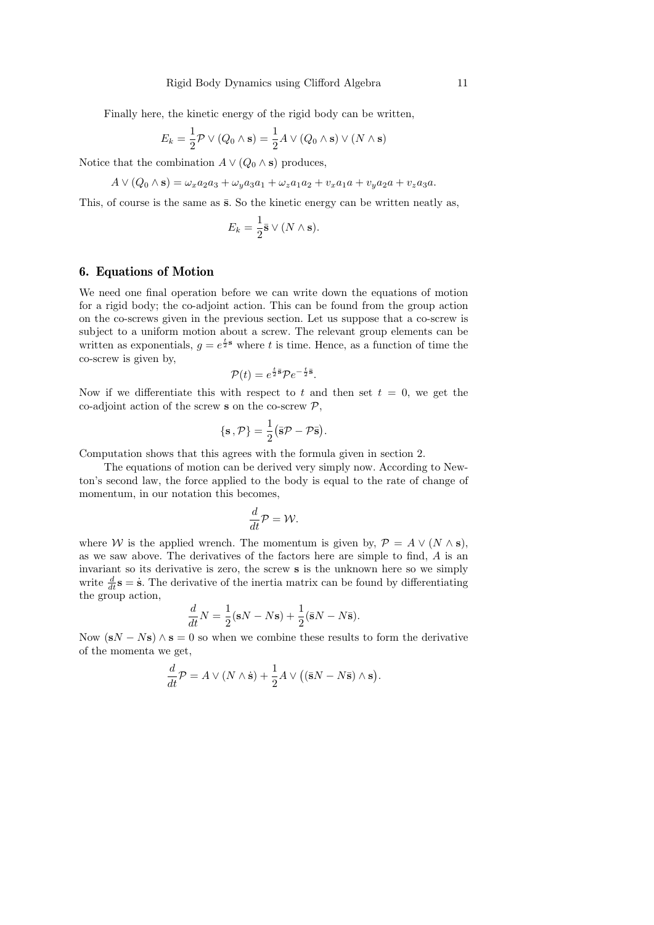Finally here, the kinetic energy of the rigid body can be written,

$$
E_k = \frac{1}{2} \mathcal{P} \vee (Q_0 \wedge \mathbf{s}) = \frac{1}{2} A \vee (Q_0 \wedge \mathbf{s}) \vee (N \wedge \mathbf{s})
$$

Notice that the combination  $A \vee (Q_0 \wedge s)$  produces,

$$
A \vee (Q_0 \wedge \mathbf{s}) = \omega_x a_2 a_3 + \omega_y a_3 a_1 + \omega_z a_1 a_2 + v_x a_1 a + v_y a_2 a + v_z a_3 a.
$$

This, of course is the same as  $\bar{s}$ . So the kinetic energy can be written neatly as,

$$
E_k = \frac{1}{2}\bar{\mathbf{s}} \vee (N \wedge \mathbf{s}).
$$

## 6. Equations of Motion

We need one final operation before we can write down the equations of motion for a rigid body; the co-adjoint action. This can be found from the group action on the co-screws given in the previous section. Let us suppose that a co-screw is subject to a uniform motion about a screw. The relevant group elements can be written as exponentials,  $g = e^{\frac{t}{2} s}$  where t is time. Hence, as a function of time the co-screw is given by,

$$
\mathcal{P}(t) = e^{\frac{t}{2}\bar{\mathbf{s}}}\mathcal{P}e^{-\frac{t}{2}\bar{\mathbf{s}}}.
$$

Now if we differentiate this with respect to t and then set  $t = 0$ , we get the co-adjoint action of the screw s on the co-screw  $P$ ,

$$
\{\mathbf s\,,\mathcal P\}=\frac{1}{2}\big(\bar{\mathbf s}\mathcal P-\mathcal P\bar{\mathbf s}\big).
$$

Computation shows that this agrees with the formula given in section 2.

The equations of motion can be derived very simply now. According to Newton's second law, the force applied to the body is equal to the rate of change of momentum, in our notation this becomes,

$$
\frac{d}{dt}\mathcal{P}=\mathcal{W}.
$$

where W is the applied wrench. The momentum is given by,  $\mathcal{P} = A \vee (N \wedge s)$ , as we saw above. The derivatives of the factors here are simple to find, A is an invariant so its derivative is zero, the screw s is the unknown here so we simply write  $\frac{d}{dt}$ **s** = **s**. The derivative of the inertia matrix can be found by differentiating the group action,

$$
\frac{d}{dt}N = \frac{1}{2}(\mathbf{s}N - N\mathbf{s}) + \frac{1}{2}(\bar{\mathbf{s}}N - N\bar{\mathbf{s}}).
$$

Now  $(SN - Ns) \wedge s = 0$  so when we combine these results to form the derivative of the momenta we get,

$$
\frac{d}{dt}\mathcal{P} = A \vee (N \wedge \dot{\mathbf{s}}) + \frac{1}{2}A \vee ((\bar{\mathbf{s}}N - N\bar{\mathbf{s}}) \wedge \mathbf{s}).
$$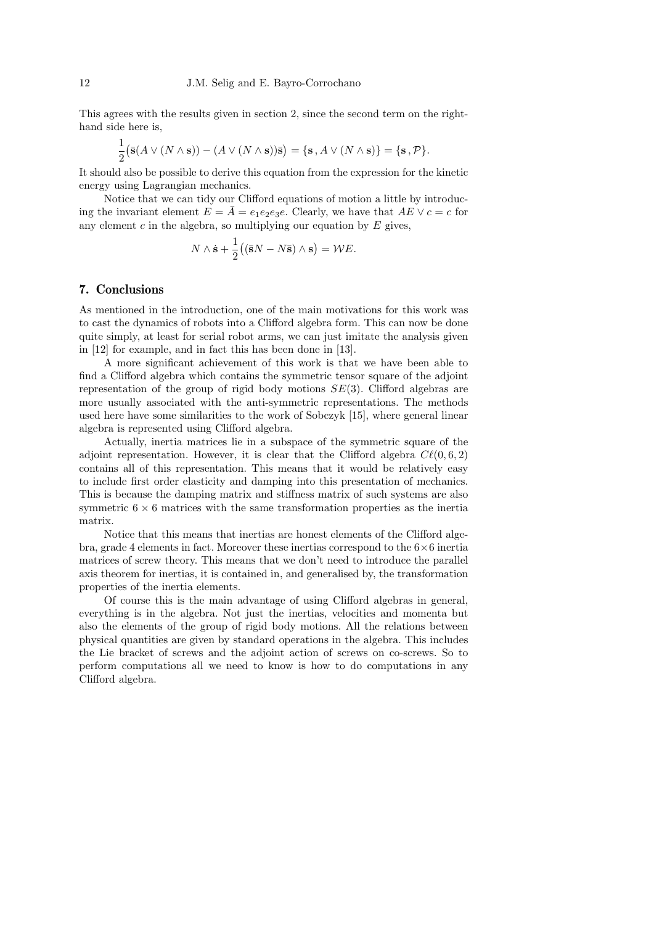This agrees with the results given in section 2, since the second term on the righthand side here is,

$$
\frac{1}{2} (\bar{\mathbf{s}}(A \vee (N \wedge \mathbf{s})) - (A \vee (N \wedge \mathbf{s}))\bar{\mathbf{s}}) = \{\mathbf{s}, A \vee (N \wedge \mathbf{s})\} = \{\mathbf{s}, \mathcal{P}\}.
$$

It should also be possible to derive this equation from the expression for the kinetic energy using Lagrangian mechanics.

Notice that we can tidy our Clifford equations of motion a little by introducing the invariant element  $E = \overline{A} = e_1 e_2 e_3 e$ . Clearly, we have that  $\overline{AE} \vee c = c$  for any element  $c$  in the algebra, so multiplying our equation by  $E$  gives,

$$
N \wedge \dot{\mathbf{s}} + \frac{1}{2} \big( (\bar{\mathbf{s}}N - N\bar{\mathbf{s}}) \wedge \mathbf{s} \big) = \mathcal{W}E.
$$

#### 7. Conclusions

As mentioned in the introduction, one of the main motivations for this work was to cast the dynamics of robots into a Clifford algebra form. This can now be done quite simply, at least for serial robot arms, we can just imitate the analysis given in [12] for example, and in fact this has been done in [13].

A more significant achievement of this work is that we have been able to find a Clifford algebra which contains the symmetric tensor square of the adjoint representation of the group of rigid body motions  $SE(3)$ . Clifford algebras are more usually associated with the anti-symmetric representations. The methods used here have some similarities to the work of Sobczyk [15], where general linear algebra is represented using Clifford algebra.

Actually, inertia matrices lie in a subspace of the symmetric square of the adjoint representation. However, it is clear that the Clifford algebra  $C\ell(0, 6, 2)$ contains all of this representation. This means that it would be relatively easy to include first order elasticity and damping into this presentation of mechanics. This is because the damping matrix and stiffness matrix of such systems are also symmetric  $6 \times 6$  matrices with the same transformation properties as the inertia matrix.

Notice that this means that inertias are honest elements of the Clifford algebra, grade 4 elements in fact. Moreover these inertias correspond to the  $6\times6$  inertia matrices of screw theory. This means that we don't need to introduce the parallel axis theorem for inertias, it is contained in, and generalised by, the transformation properties of the inertia elements.

Of course this is the main advantage of using Clifford algebras in general, everything is in the algebra. Not just the inertias, velocities and momenta but also the elements of the group of rigid body motions. All the relations between physical quantities are given by standard operations in the algebra. This includes the Lie bracket of screws and the adjoint action of screws on co-screws. So to perform computations all we need to know is how to do computations in any Clifford algebra.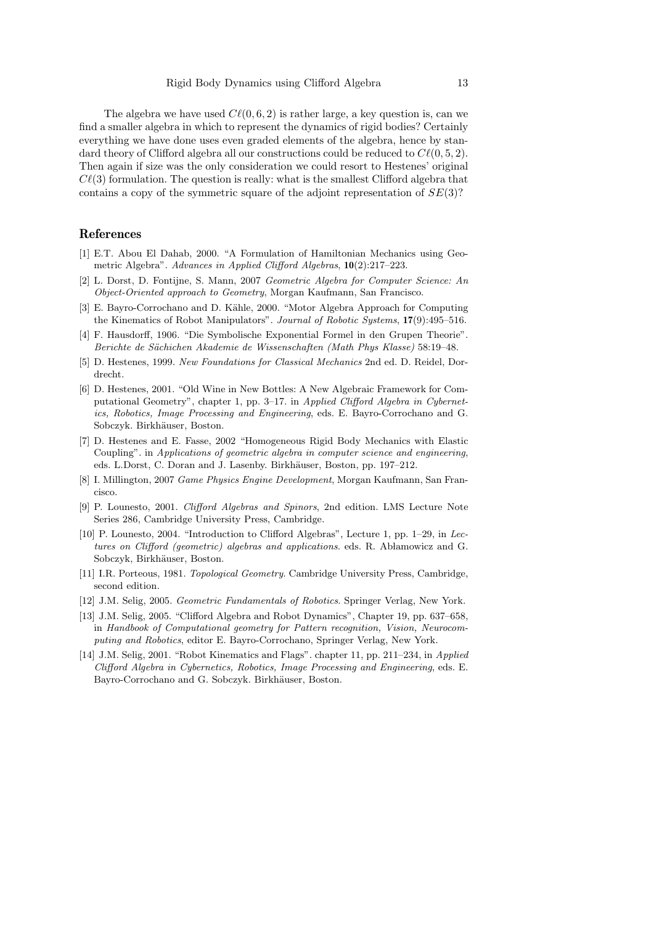The algebra we have used  $C\ell(0, 6, 2)$  is rather large, a key question is, can we find a smaller algebra in which to represent the dynamics of rigid bodies? Certainly everything we have done uses even graded elements of the algebra, hence by standard theory of Clifford algebra all our constructions could be reduced to  $C\ell(0, 5, 2)$ . Then again if size was the only consideration we could resort to Hestenes' original  $C\ell(3)$  formulation. The question is really: what is the smallest Clifford algebra that contains a copy of the symmetric square of the adjoint representation of  $SE(3)$ ?

## References

- [1] E.T. Abou El Dahab, 2000. "A Formulation of Hamiltonian Mechanics using Geometric Algebra". Advances in Applied Clifford Algebras, 10(2):217–223.
- [2] L. Dorst, D. Fontijne, S. Mann, 2007 Geometric Algebra for Computer Science: An Object-Oriented approach to Geometry, Morgan Kaufmann, San Francisco.
- [3] E. Bayro-Corrochano and D. Kähle, 2000. "Motor Algebra Approach for Computing the Kinematics of Robot Manipulators". Journal of Robotic Systems, 17(9):495–516.
- [4] F. Hausdorff, 1906. "Die Symbolische Exponential Formel in den Grupen Theorie". Berichte de Sächichen Akademie de Wissenschaften (Math Phys Klasse) 58:19-48.
- [5] D. Hestenes, 1999. New Foundations for Classical Mechanics 2nd ed. D. Reidel, Dordrecht.
- [6] D. Hestenes, 2001. "Old Wine in New Bottles: A New Algebraic Framework for Computational Geometry", chapter 1, pp. 3–17. in Applied Clifford Algebra in Cybernetics, Robotics, Image Processing and Engineering, eds. E. Bayro-Corrochano and G. Sobczyk. Birkhäuser, Boston.
- [7] D. Hestenes and E. Fasse, 2002 "Homogeneous Rigid Body Mechanics with Elastic Coupling". in Applications of geometric algebra in computer science and engineering, eds. L.Dorst, C. Doran and J. Lasenby. Birkhäuser, Boston, pp. 197–212.
- [8] I. Millington, 2007 Game Physics Engine Development, Morgan Kaufmann, San Francisco.
- [9] P. Lounesto, 2001. Clifford Algebras and Spinors, 2nd edition. LMS Lecture Note Series 286, Cambridge University Press, Cambridge.
- [10] P. Lounesto, 2004. "Introduction to Clifford Algebras", Lecture 1, pp. 1–29, in Lectures on Clifford (geometric) algebras and applications. eds. R. Abłamowicz and G. Sobczyk, Birkhäuser, Boston.
- [11] I.R. Porteous, 1981. Topological Geometry. Cambridge University Press, Cambridge, second edition.
- [12] J.M. Selig, 2005. Geometric Fundamentals of Robotics. Springer Verlag, New York.
- [13] J.M. Selig, 2005. "Clifford Algebra and Robot Dynamics", Chapter 19, pp. 637–658, in Handbook of Computational geometry for Pattern recognition, Vision, Neurocomputing and Robotics, editor E. Bayro-Corrochano, Springer Verlag, New York.
- [14] J.M. Selig, 2001. "Robot Kinematics and Flags". chapter 11, pp. 211–234, in Applied Clifford Algebra in Cybernetics, Robotics, Image Processing and Engineering, eds. E. Bayro-Corrochano and G. Sobczyk. Birkhäuser, Boston.